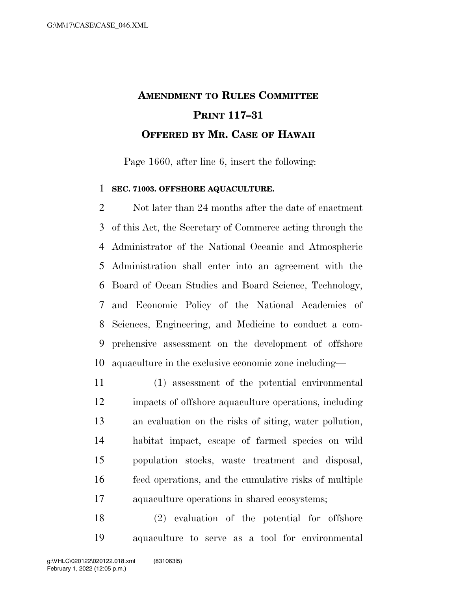## **AMENDMENT TO RULES COMMITTEE PRINT 117–31 OFFERED BY MR. CASE OF HAWAII**

Page 1660, after line 6, insert the following:

## **SEC. 71003. OFFSHORE AQUACULTURE.**

2 Not later than 24 months after the date of enactment of this Act, the Secretary of Commerce acting through the Administrator of the National Oceanic and Atmospheric Administration shall enter into an agreement with the Board of Ocean Studies and Board Science, Technology, and Economic Policy of the National Academies of Sciences, Engineering, and Medicine to conduct a com- prehensive assessment on the development of offshore aquaculture in the exclusive economic zone including—

 (1) assessment of the potential environmental impacts of offshore aquaculture operations, including an evaluation on the risks of siting, water pollution, habitat impact, escape of farmed species on wild population stocks, waste treatment and disposal, feed operations, and the cumulative risks of multiple aquaculture operations in shared ecosystems;

 (2) evaluation of the potential for offshore aquaculture to serve as a tool for environmental